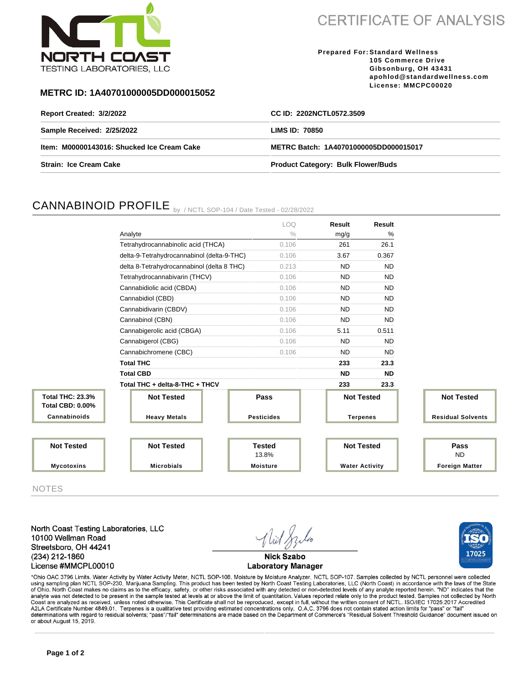

**CERTIFICATE OF ANALYSIS** 

**Prepared For: Standard Wellness 105 Commerce Drive Gibsonburg, OH 43431 apohlod@standardwellness.com License: MMCPC00020**

17025

## **METRC ID: 1A40701000005DD000015052**

| Report Created: 3/2/2022                   | CC ID: 2202NCTL0572.3509                  |
|--------------------------------------------|-------------------------------------------|
| Sample Received: 2/25/2022                 | <b>LIMS ID: 70850</b>                     |
| Item: M00000143016: Shucked Ice Cream Cake | METRC Batch: 1A40701000005DD000015017     |
| <b>Strain: Ice Cream Cake</b>              | <b>Product Category: Bulk Flower/Buds</b> |

# CANNABINOID PROFILE by / NCTL SOP-104 / Date Tested - 02/28/2022

|                                                    |                                            | LOQ               | <b>Result</b>         | <b>Result</b> |                          |
|----------------------------------------------------|--------------------------------------------|-------------------|-----------------------|---------------|--------------------------|
|                                                    | Analyte                                    | $\frac{0}{0}$     | mg/g                  | %             |                          |
|                                                    | Tetrahydrocannabinolic acid (THCA)         | 0.106             | 261                   | 26.1          |                          |
|                                                    | delta-9-Tetrahydrocannabinol (delta-9-THC) | 0.106             | 3.67                  | 0.367         |                          |
|                                                    | delta 8-Tetrahydrocannabinol (delta 8 THC) | 0.213             | <b>ND</b>             | <b>ND</b>     |                          |
|                                                    | Tetrahydrocannabivarin (THCV)              | 0.106             | <b>ND</b>             | <b>ND</b>     |                          |
|                                                    | Cannabidiolic acid (CBDA)                  | 0.106             | <b>ND</b>             | <b>ND</b>     |                          |
|                                                    | Cannabidiol (CBD)                          | 0.106             | <b>ND</b>             | <b>ND</b>     |                          |
|                                                    | Cannabidivarin (CBDV)                      | 0.106             | <b>ND</b>             | <b>ND</b>     |                          |
|                                                    | Cannabinol (CBN)                           | 0.106             | <b>ND</b>             | <b>ND</b>     |                          |
|                                                    | Cannabigerolic acid (CBGA)                 | 0.106             | 5.11                  | 0.511         |                          |
|                                                    | Cannabigerol (CBG)                         | 0.106             | <b>ND</b>             | <b>ND</b>     |                          |
|                                                    | Cannabichromene (CBC)                      | 0.106             | <b>ND</b>             | <b>ND</b>     |                          |
|                                                    | <b>Total THC</b>                           |                   | 233                   | 23.3          |                          |
|                                                    | <b>Total CBD</b>                           |                   | <b>ND</b>             | <b>ND</b>     |                          |
|                                                    | Total THC + delta-8-THC + THCV             |                   | 233                   | 23.3          |                          |
| <b>Total THC: 23.3%</b><br><b>Total CBD: 0.00%</b> | <b>Not Tested</b>                          | Pass              | <b>Not Tested</b>     |               | <b>Not Tested</b>        |
| Cannabinoids                                       | <b>Heavy Metals</b>                        | <b>Pesticides</b> | <b>Terpenes</b>       |               | <b>Residual Solvents</b> |
| <b>Not Tested</b>                                  | <b>Not Tested</b>                          | <b>Tested</b>     | <b>Not Tested</b>     |               | Pass                     |
|                                                    |                                            | 13.8%             |                       |               | <b>ND</b>                |
| <b>Mycotoxins</b>                                  | <b>Microbials</b>                          | <b>Moisture</b>   | <b>Water Activity</b> |               | <b>Foreign Matter</b>    |

NOTES

North Coast Testing Laboratories, LLC 10100 Wellman Road Streetsboro, OH 44241 (234) 212-1860 License #MMCPL00010



\*Ohio OAC 3796 Limits. Water Activity by Water Activity Meter, NCTL SOP-108. Moisture by Moisture Analyzer, NCTL SOP-107. Samples collected by NCTL personnel were collected using sampling plan NCTL SOP-230, Marijuana Sampling. This product has been tested by North Coast Testing Laboratories, LLC (North Coast) in accordance with the laws of the State<br>of Ohio. North Coast makes no claims as to Coast are analyzed as received, unless noted otherwise. This Certificate shall not be reproduced, except in full, without the written consent of NCTL. ISO/IEC 17025:2017 Accredited<br>A2LA Certificate Number 4849.01. Terpenes determinations with regard to residual solvents; "pass"/"fail" determinations are made based on the Department of Commerce's "Residual Solvent Threshold Guidance" document issued on or about August 15, 2019.